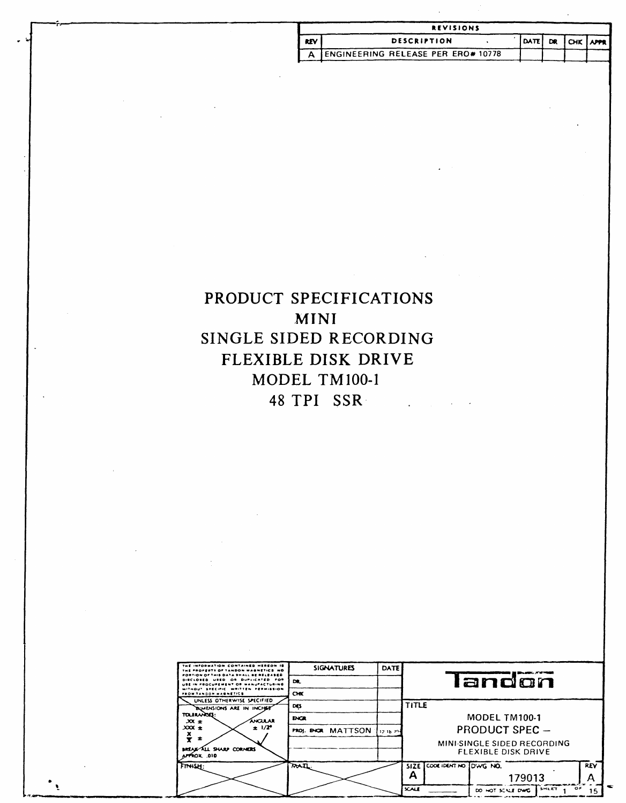|                      |            |                                    |             | <b>REVISIONS</b> |                      |             |    |                            |  |
|----------------------|------------|------------------------------------|-------------|------------------|----------------------|-------------|----|----------------------------|--|
|                      | <b>REV</b> |                                    | DESCRIPTION |                  | $\ddot{\phantom{1}}$ | <b>DATE</b> | DR | $ \text{CHK} \text{APPR} $ |  |
|                      | A $\vert$  | ENGINEERING RELEASE PER ERO# 10778 |             |                  |                      |             |    |                            |  |
|                      |            |                                    |             |                  |                      |             |    |                            |  |
|                      | $\cdot$    |                                    |             |                  |                      |             |    |                            |  |
|                      |            |                                    |             |                  |                      |             |    |                            |  |
| $\sim$<br>$\sim$     |            |                                    |             |                  |                      |             |    |                            |  |
| $\ddot{\phantom{1}}$ |            |                                    |             |                  |                      |             |    |                            |  |
|                      |            |                                    |             |                  |                      |             |    |                            |  |
|                      |            |                                    |             |                  |                      |             |    |                            |  |
|                      |            |                                    |             |                  |                      |             |    |                            |  |
|                      |            |                                    | $\cdot$     | $\sim$ 10 $\pm$  |                      |             |    |                            |  |
|                      |            |                                    |             |                  |                      |             |    |                            |  |
|                      |            |                                    |             |                  |                      |             |    |                            |  |
|                      |            |                                    |             |                  |                      |             |    |                            |  |

# PRODUCT SPECIFICATIONS **MINI** SINGLE SIDED RECORDING FLEXIBLE DISK DRIVE MODEL TM100-1 48 TPI SSR

| THE INFORMATION CONTAINED HEREON IS<br>THE PROPERTY OF TANDON MAGNETICS NO<br>PORTION OF THIS DATA SHALL BE RELEASED. | <b>SIGNATURES</b>  | DATE      |              |                             | <b>TENNIK FORE</b>                                        |       |            |
|-----------------------------------------------------------------------------------------------------------------------|--------------------|-----------|--------------|-----------------------------|-----------------------------------------------------------|-------|------------|
| DISCLOSED USED OR DUPLICATED FOR<br>USE IN PROCUREMENT OR MANUFACTURING                                               | DR.                |           |              |                             | landon                                                    |       |            |
| WITHOUT SPECIFIC WRITTEN PERMISSION<br>FROM TANDON MAGNETICS                                                          | CHK                |           |              |                             |                                                           |       |            |
| UNLESS OTHERWISE SPECIFIED<br>BUMENSIONS ARE IN INCHEST                                                               | DES                |           | TITLE        |                             |                                                           |       |            |
| TOLIUWOOS:<br>waiw<br>$x \times x$                                                                                    | <b>DOL</b>         |           |              |                             | MODEL TM100-1                                             |       |            |
| $\pm$ 1/2 <sup>o</sup><br>$x\alpha +$                                                                                 | PROJ. BACK MATTSON | 12.18.794 |              |                             | PRODUCT SPEC -                                            |       |            |
| 士<br><b>BREAK ALL SHARP CORNERS</b><br>APPROX 010                                                                     |                    |           |              |                             | MINI-SINGLE SIDED RECORDING<br><b>FLEXIBLE DISK DRIVE</b> |       |            |
| FINISH:                                                                                                               | $_{\rm{RML}}$      |           |              | SIZE COOK IDENT NO DIWG NO. |                                                           |       | <b>REV</b> |
|                                                                                                                       |                    |           | А            |                             | 179013                                                    |       | А          |
|                                                                                                                       |                    |           | <b>SCALE</b> |                             | DO HOT SCALE DWG                                          | SHEET | ОF<br>15   |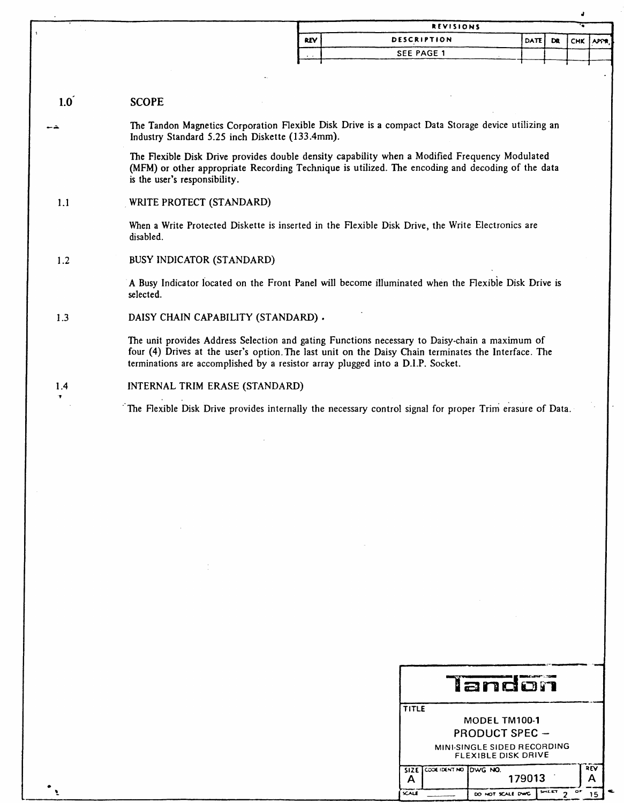|            | <b>REVISIONS</b>   |                  |  |  |
|------------|--------------------|------------------|--|--|
| <b>REV</b> | <b>DESCRIPTION</b> | DATE DR CHK APPR |  |  |
|            | <b>SEE PAGE 1</b>  |                  |  |  |
|            |                    |                  |  |  |

#### $1.0<sup>7</sup>$ **SCOPE**

À

The Tandon Magnetics Corporation Flexible Disk Drive is a compact Data Storage device utilizing an Industry Standard 5.25 inch Diskette (133.4mm).

The Flexible Disk Drive provides double density capability when a Modified Frequency Modulated (MFM) or other appropriate Recording Technique is utilized. The encoding and decoding of the data is the user's responsibility.

#### $1.1$ WRITE PROTECT (STANDARD)

When a Write Protected Diskette is inserted in the Flexible Disk Drive, the Write Electronics are disabled.

**BUSY INDICATOR (STANDARD)**  $1.2$ 

> A Busy Indicator located on the Front Panel will become illuminated when the Flexible Disk Drive is selected.

DAISY CHAIN CAPABILITY (STANDARD) .  $1.3$ 

> The unit provides Address Selection and gating Functions necessary to Daisy-chain a maximum of four (4) Drives at the user's option. The last unit on the Daisy Chain terminates the Interface. The terminations are accomplished by a resistor array plugged into a D.I.P. Socket.

INTERNAL TRIM ERASE (STANDARD)  $1.4$ 

The Flexible Disk Drive provides internally the necessary control signal for proper Trim erasure of Data.

| landon                                                    |                            |                           |     |  |  |
|-----------------------------------------------------------|----------------------------|---------------------------|-----|--|--|
| <b>TITLE</b>                                              |                            |                           |     |  |  |
|                                                           | MODEL TM100-1              |                           |     |  |  |
|                                                           | <b>PRODUCT SPEC -</b>      |                           |     |  |  |
| MINI-SINGLE SIDED RECORDING<br><b>FLEXIBLE DISK DRIVE</b> |                            |                           |     |  |  |
| А                                                         | SIZE COOK IDENT NO DWG NO. | 179013                    | REV |  |  |
| Y.ALE                                                     |                            | SHEET<br>DO NOT SCALE DWG | OF  |  |  |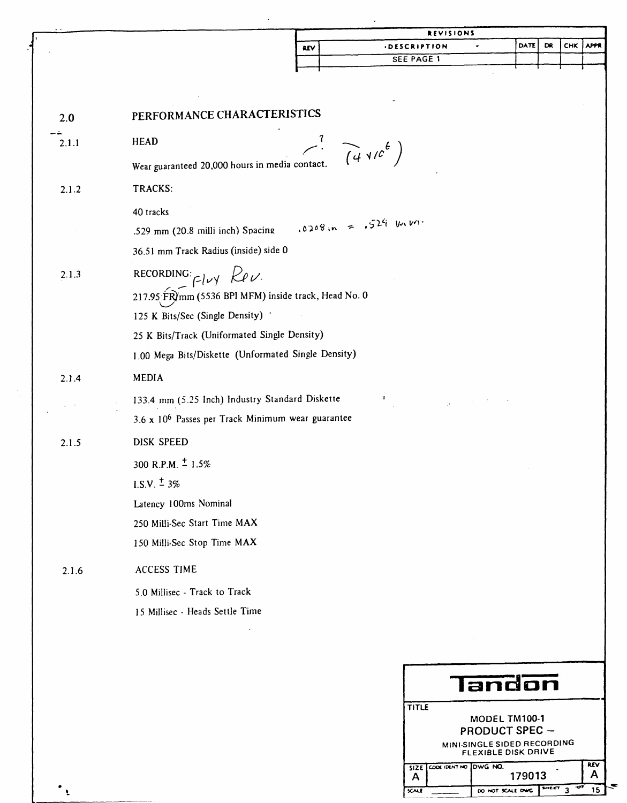| <b>REVISIONS</b>                                                      |
|-----------------------------------------------------------------------|
| DATE<br>DR<br><b>CHK</b><br><b>APPR</b><br><b>IDESCRIPTION</b><br>REV |
| SEE PAGE 1                                                            |
|                                                                       |
| PERFORMANCE CHARACTERISTICS                                           |
| <b>HEAD</b><br>$\left(\frac{1}{4}\sqrt{c^6}\right)$                   |
| Wear guaranteed 20,000 hours in media contact.                        |
| TRACKS:                                                               |
| 40 tracks                                                             |
| $.0208$ in = $.524$ k km<br>.529 mm (20.8 milli inch) Spacing         |
| 36.51 mm Track Radius (inside) side 0                                 |
| RECORDING: $\mu$ $\mu$ $\mu$ .                                        |
| 217.95 FR)mm (5536 BPI MFM) inside track, Head No. 0                  |
| 125 K Bits/Sec (Single Density) .                                     |
| 25 K Bits/Track (Uniformated Single Density)                          |
| 1.00 Mega Bits/Diskette (Unformated Single Density)                   |
| MEDIA                                                                 |
| 133.4 mm (5.25 Inch) Industry Standard Diskette                       |
| 3.6 x 10 <sup>6</sup> Passes per Track Minimum wear guarantee         |
| <b>DISK SPEED</b>                                                     |
| 300 R.P.M. $\pm$ 1.5%                                                 |
| $1.S.V.$ $\pm$ 3%                                                     |
| Latency 100ms Nominal                                                 |
| 250 Milli-Sec Start Time MAX                                          |
| 150 Milli-Sec Stop Time MAX                                           |
| <b>ACCESS TIME</b>                                                    |
| 5.0 Millisec - Track to Track                                         |
| 15 Millisec - Heads Settle Time                                       |
|                                                                       |
|                                                                       |
| Tandon                                                                |
| <b>TITLE</b>                                                          |
| MODEL TM100-1                                                         |
| <b>PRODUCT SPEC -</b><br>MINI-SINGLE SIDED RECORDING                  |
|                                                                       |

 $\overline{A}$   $\overline{A}$   $\overline{C}$   $\overline{C}$   $\overline{C}$   $\overline{C}$   $\overline{C}$   $\overline{C}$   $\overline{C}$   $\overline{C}$   $\overline{C}$   $\overline{C}$   $\overline{C}$   $\overline{C}$   $\overline{C}$   $\overline{C}$   $\overline{C}$   $\overline{C}$   $\overline{C}$   $\overline{C}$   $\overline{C}$   $\overline{C}$   $\overline{C}$   $\overline{C}$   $\overline{$ 

₹

•

 $\ddot{\phantom{0}}$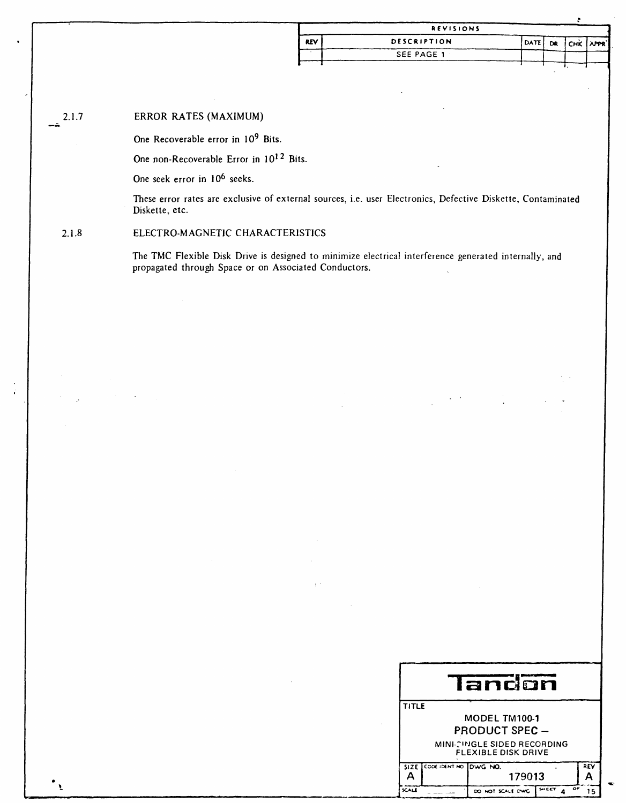|            | <b>REVISIONS</b>   |      |                |  |
|------------|--------------------|------|----------------|--|
| <b>REV</b> | <b>DESCRIPTION</b> | DATE | dr (chk (appr) |  |
|            | SEE PAGE 1         |      |                |  |
|            |                    |      |                |  |

#### $2.1.7$ ERROR RATES (MAXIMUM)

 $\ddot{i}$ 

One Recoverable error in 10<sup>9</sup> Bits.

One non-Recoverable Error in 10<sup>12</sup> Bits.

One seek error in 10<sup>6</sup> seeks.

These error rates are exclusive of external sources, i.e. user Electronics, Defective Diskette, Contaminated Diskette, etc.

#### ELECTRO-MAGNETIC CHARACTERISTICS  $2.1.8$

The TMC Flexible Disk Drive is designed to minimize electrical interference generated internally, and propagated through Space or on Associated Conductors.

| Iandon                                                    |                           |                                 |     |  |
|-----------------------------------------------------------|---------------------------|---------------------------------|-----|--|
| <b>TITLE</b>                                              |                           |                                 |     |  |
| MODEL TM100-1                                             |                           |                                 |     |  |
| <b>PRODUCT SPEC -</b>                                     |                           |                                 |     |  |
| <b>MINI-CINGLE SIDED RECORDING</b><br>ELEXIBLE DISK DRIVE |                           |                                 |     |  |
|                                                           | SIZE COOLIDENT NO DWG NO. |                                 | REV |  |
| Д                                                         |                           | 179013                          |     |  |
| <b>SCALE</b>                                              |                           | ОF<br>SHEET<br>DO NOT SCALE DWG |     |  |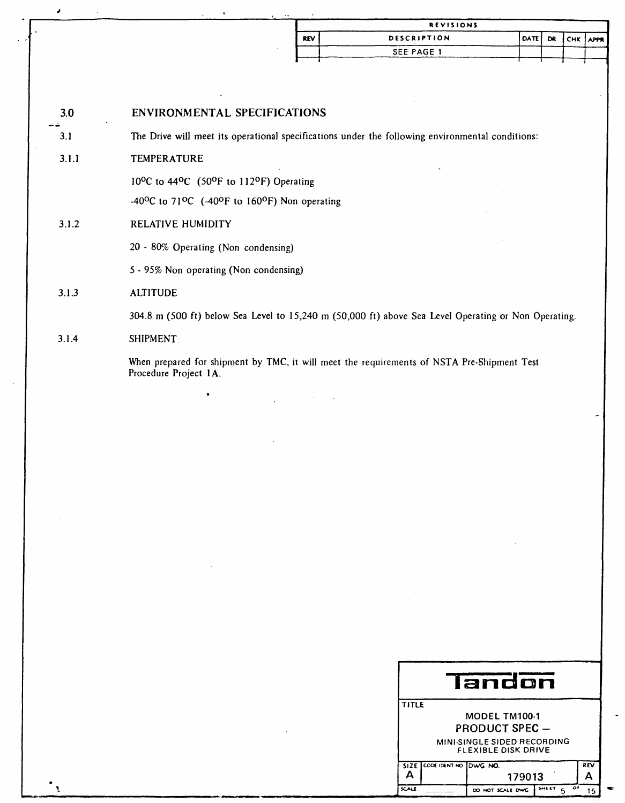| <b>REVISIONS</b> |                    |                  |  |  |  |  |  |  |
|------------------|--------------------|------------------|--|--|--|--|--|--|
| <b>REV</b>       | <b>DESCRIPTION</b> | DATE DR CHK APPR |  |  |  |  |  |  |
|                  | SEE PAGE 1         |                  |  |  |  |  |  |  |
|                  |                    |                  |  |  |  |  |  |  |

| 3.0   | ENVIRONMENTAL SPECIFICATIONS                                                                                        |
|-------|---------------------------------------------------------------------------------------------------------------------|
| 3.1   | The Drive will meet its operational specifications under the following environmental conditions:                    |
| 3.1.1 | <b>TEMPERATURE</b>                                                                                                  |
|       | 10 <sup>o</sup> C to 44 <sup>o</sup> C (50 <sup>o</sup> F to 112 <sup>o</sup> F) Operating                          |
|       | -40 <sup>o</sup> C to 71 <sup>o</sup> C (-40 <sup>o</sup> F to 160 <sup>o</sup> F) Non operating                    |
| 3.1.2 | RELATIVE HUMIDITY                                                                                                   |
|       | 20 - 80% Operating (Non condensing)                                                                                 |
|       | 5 - 95% Non operating (Non condensing)                                                                              |
| 3.1.3 | <b>ALTITUDE</b>                                                                                                     |
|       | 304.8 m (500 ft) below Sea Level to 15,240 m (50,000 ft) above Sea Level Operating or Non Operating.                |
| 3.1.4 | <b>SHIPMENT</b>                                                                                                     |
|       | When prepared for shipment by TMC, it will meet the requirements of NSTA Pre-Shipment Test<br>Procedure Project 1A. |
|       | ъ.                                                                                                                  |

 $\sim$   $\sim$ 

 $\label{eq:2.1} \frac{1}{\sqrt{2}}\left(\frac{1}{\sqrt{2}}\right)^{2} \left(\frac{1}{\sqrt{2}}\right)^{2} \left(\frac{1}{\sqrt{2}}\right)^{2} \left(\frac{1}{\sqrt{2}}\right)^{2} \left(\frac{1}{\sqrt{2}}\right)^{2} \left(\frac{1}{\sqrt{2}}\right)^{2} \left(\frac{1}{\sqrt{2}}\right)^{2} \left(\frac{1}{\sqrt{2}}\right)^{2} \left(\frac{1}{\sqrt{2}}\right)^{2} \left(\frac{1}{\sqrt{2}}\right)^{2} \left(\frac{1}{\sqrt{2}}\right)^{2} \left(\$ 

| landon                                              |                        |                  |             |            |  |
|-----------------------------------------------------|------------------------|------------------|-------------|------------|--|
| TITLE                                               |                        |                  |             |            |  |
|                                                     |                        | MODEL TM100-1    |             |            |  |
| <b>PRODUCT SPEC -</b>                               |                        |                  |             |            |  |
| MINI-SINGLE SIDED RECORDING<br>EL EXIBLE DISK DRIVE |                        |                  |             |            |  |
| <b>SIZE</b>                                         | CODE IDENT NO TOWG NO. |                  |             | <b>REV</b> |  |
| д                                                   |                        | 179013           |             |            |  |
| SCALE                                               |                        | DO NOT SCALE DWG | o۶<br>SHEET | 15         |  |

 $\mathcal{A}$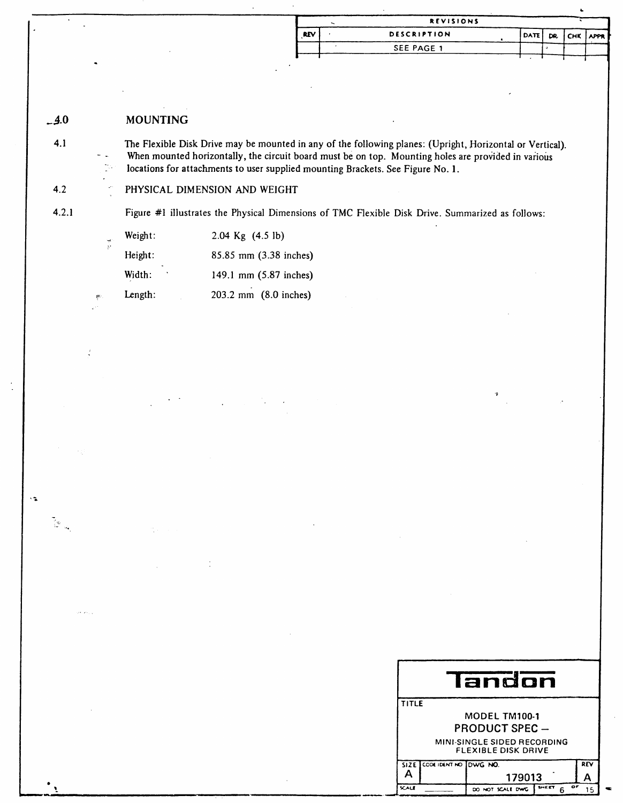|     | <b>REVISIONS</b>   |                  |  |  |
|-----|--------------------|------------------|--|--|
| RΕV | <b>DESCRIPTION</b> | DATE DR CHK APPR |  |  |
|     | SEE PAGE 1         |                  |  |  |
|     |                    |                  |  |  |

#### $-4.0$ MOUNTING

- - -,

 $\frac{1}{2}$ 

~y;

The Flexible Disk Drive may be mounted in any of the following planes: (Upright, Horizontal or Vertical). When mounted horizontally, the circuit board must be on top. Mounting holes are provided in various locations for attachments to user supplied mounting Brackets. See Figure No.1.

PHYSICAL DIMENSION AND WEIGHT

4.2.1

4.1

4.2

 $\frac{1}{2}$ ",

 $\mathcal{L}_{\mathbf{a}}$ 

'-

Figure #1 illustrates the Physical Dimensions of TMC Flexible Disk Drive. Summarized as follows:

| Weight: | 2.04 Kg (4.5 lb)         |
|---------|--------------------------|
| Height: | 85.85 mm (3.38 inches)   |
| Width:  | 149.1 mm $(5.87$ inches) |
| Length: | 203.2 mm (8.0 inches)    |

|                                                           | landon                     |                  |             |     |  |  |  |
|-----------------------------------------------------------|----------------------------|------------------|-------------|-----|--|--|--|
| TITLE                                                     |                            |                  |             |     |  |  |  |
|                                                           | MODEL TM100-1              |                  |             |     |  |  |  |
| <b>PRODUCT SPEC -</b>                                     |                            |                  |             |     |  |  |  |
| MINI-SINGLE SIDED RECORDING<br><b>FLEXIBLE DISK DRIVE</b> |                            |                  |             |     |  |  |  |
|                                                           | SIZE CODE IDENT NO DWG NO. |                  |             | REV |  |  |  |
|                                                           |                            | 179013           |             |     |  |  |  |
| <b>SCALE</b>                                              |                            | DO NOT SCALE DWG | oF<br>SHEET |     |  |  |  |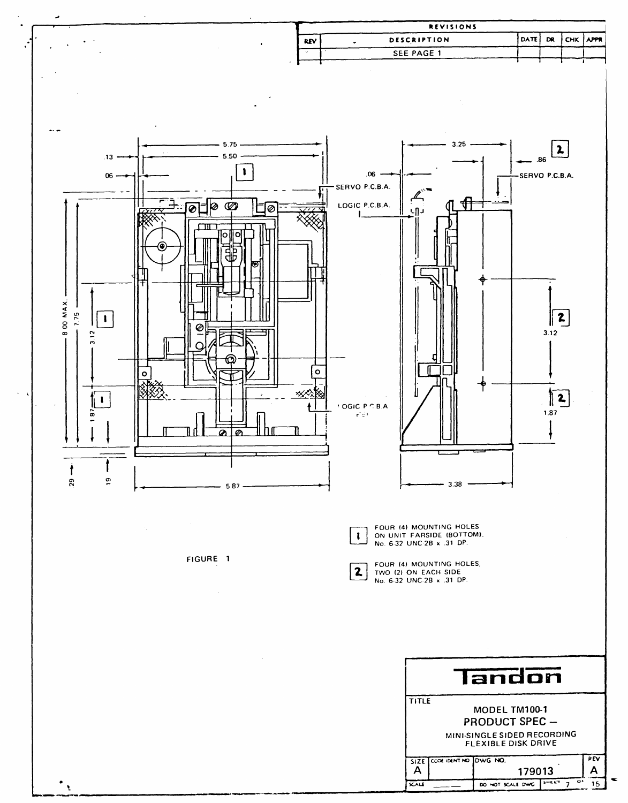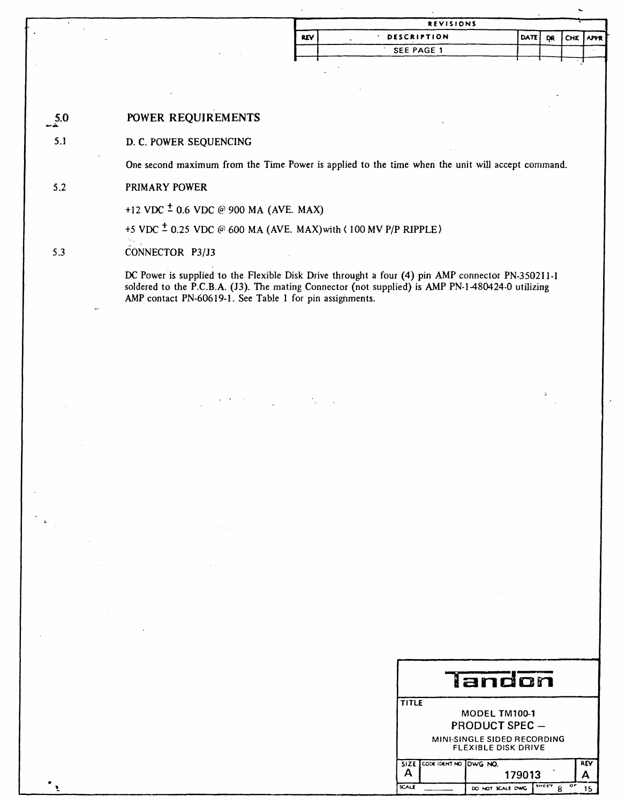| <b>REVISIONS</b> |             |                  |  |  |  |  |  |  |
|------------------|-------------|------------------|--|--|--|--|--|--|
| <b>REV</b>       | DESCRIPTION | DATE DR CHK APPR |  |  |  |  |  |  |
|                  | SEE PAGE 1  |                  |  |  |  |  |  |  |
|                  |             |                  |  |  |  |  |  |  |

### $5.0$ POWER REQUIREMENTS

## D. C. POWER SEQUENCING

One second maximum from the Time Power is applied to the time when the unit will accept command.

#### PRIMARY POWER  $5.2$

 $5.1$ 

+12 VDC  $\pm$  0.6 VDC @ 900 MA (AVE. MAX)

+5 VDC  $\pm$  0.25 VDC @ 600 MA (AVE. MAX) with (100 MV P/P RIPPLE)

#### $5.3$ CONNECTOR P3/J3

DC Power is supplied to the Flexible Disk Drive throught a four (4) pin AMP connector PN-350211-1 soldered to the P.C.B.A. (J3). The mating Connector (not supplied) is AMP PN-1-480424-0 utilizing AMP contact PN-60619-1. See Table 1 for pin assignments.

| landon                                             |                             |                                      |     |  |  |  |
|----------------------------------------------------|-----------------------------|--------------------------------------|-----|--|--|--|
| <b>TITLE</b>                                       |                             |                                      |     |  |  |  |
|                                                    |                             | MODEL TM100-1                        |     |  |  |  |
|                                                    |                             | <b>PRODUCT SPEC -</b>                |     |  |  |  |
| MINI-SINGLE SIDED RECORDING<br>FLEXIBLE DISK DRIVE |                             |                                      |     |  |  |  |
|                                                    | SIZE CODE IDENT NO. DWG NO. |                                      | REV |  |  |  |
|                                                    |                             | 179013                               |     |  |  |  |
| <b>SCALE</b>                                       |                             | SHEET<br>o۶<br>DO NOT SCALE DWG<br>Я | г,  |  |  |  |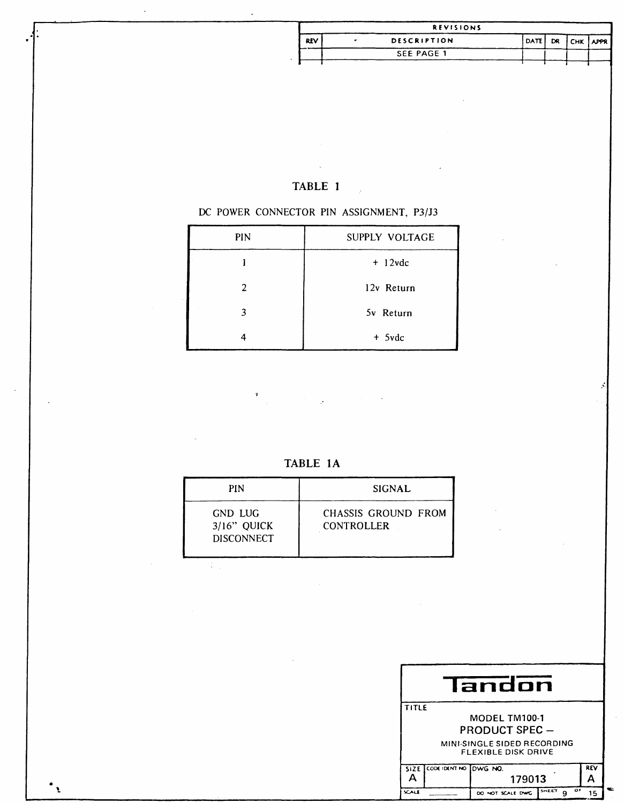|                            |                                                                                                                                                                |                                          | <b>REVISIONS</b> |      |    |          |  |
|----------------------------|----------------------------------------------------------------------------------------------------------------------------------------------------------------|------------------------------------------|------------------|------|----|----------|--|
|                            | <b>REV</b>                                                                                                                                                     | DESCRIPTION<br>۰                         |                  | DATA | DR | CHK APPR |  |
|                            |                                                                                                                                                                | SEE PAGE 1                               |                  |      |    |          |  |
|                            |                                                                                                                                                                |                                          |                  |      |    |          |  |
|                            |                                                                                                                                                                |                                          |                  |      |    |          |  |
|                            |                                                                                                                                                                |                                          |                  |      |    |          |  |
|                            |                                                                                                                                                                |                                          |                  |      |    |          |  |
|                            |                                                                                                                                                                |                                          |                  |      |    |          |  |
|                            |                                                                                                                                                                |                                          |                  |      |    |          |  |
|                            |                                                                                                                                                                |                                          |                  |      |    |          |  |
|                            | TABLE 1                                                                                                                                                        |                                          |                  |      |    |          |  |
|                            |                                                                                                                                                                | DC POWER CONNECTOR PIN ASSIGNMENT, P3/J3 |                  |      |    |          |  |
| $\rm PIN$                  |                                                                                                                                                                | SUPPLY VOLTAGE                           |                  |      |    |          |  |
| $\mathbf{I}$               |                                                                                                                                                                | $+ 12$ vdc                               |                  |      |    |          |  |
| $\sqrt{2}$                 |                                                                                                                                                                | 12v Return                               |                  |      |    |          |  |
| $\mathfrak{Z}$             |                                                                                                                                                                | 5v Return                                |                  |      |    |          |  |
| $\boldsymbol{4}$           |                                                                                                                                                                | $+$ 5vdc                                 |                  |      |    |          |  |
|                            |                                                                                                                                                                |                                          |                  |      |    |          |  |
|                            |                                                                                                                                                                |                                          |                  |      |    |          |  |
|                            |                                                                                                                                                                |                                          |                  |      |    |          |  |
| P                          | $\label{eq:2} \frac{1}{\sqrt{2}}\left(\frac{1}{\sqrt{2}}\right)^{2} \left(\frac{1}{\sqrt{2}}\right)^{2} \frac{1}{\sqrt{2}}\left(\frac{1}{\sqrt{2}}\right)^{2}$ |                                          |                  |      |    |          |  |
|                            |                                                                                                                                                                |                                          |                  |      |    |          |  |
|                            |                                                                                                                                                                |                                          |                  |      |    |          |  |
|                            |                                                                                                                                                                |                                          |                  |      |    |          |  |
|                            | TABLE 1A                                                                                                                                                       |                                          |                  |      |    |          |  |
| PIN                        |                                                                                                                                                                | SIGNAL                                   |                  |      |    |          |  |
| GND LUG                    |                                                                                                                                                                | CHASSIS GROUND FROM                      |                  |      |    |          |  |
| 3/16" QUICK                |                                                                                                                                                                | CONTROLLER                               |                  |      |    |          |  |
| <b>DISCONNECT</b>          |                                                                                                                                                                |                                          |                  |      |    |          |  |
| $\mathcal{L}_{\text{max}}$ |                                                                                                                                                                |                                          |                  |      |    |          |  |
|                            |                                                                                                                                                                |                                          |                  |      |    |          |  |
|                            |                                                                                                                                                                |                                          |                  |      |    |          |  |
|                            |                                                                                                                                                                |                                          |                  |      |    |          |  |
|                            |                                                                                                                                                                |                                          |                  |      |    |          |  |
|                            |                                                                                                                                                                |                                          |                  |      |    |          |  |
|                            |                                                                                                                                                                |                                          |                  |      |    |          |  |
|                            |                                                                                                                                                                |                                          |                  |      |    |          |  |
|                            |                                                                                                                                                                |                                          | <b>Tandon</b>    |      |    |          |  |
|                            |                                                                                                                                                                |                                          |                  |      |    |          |  |

 $\bar{\mathcal{A}}$ 

 $\ddot{\cdot}$ 

| MODEL TM100-1               |
|-----------------------------|
| PRODUCT SPEC -              |
| MINI-SINGLE SIDED RECORDING |
| FLEXIBLE DISK DRIVE         |
|                             |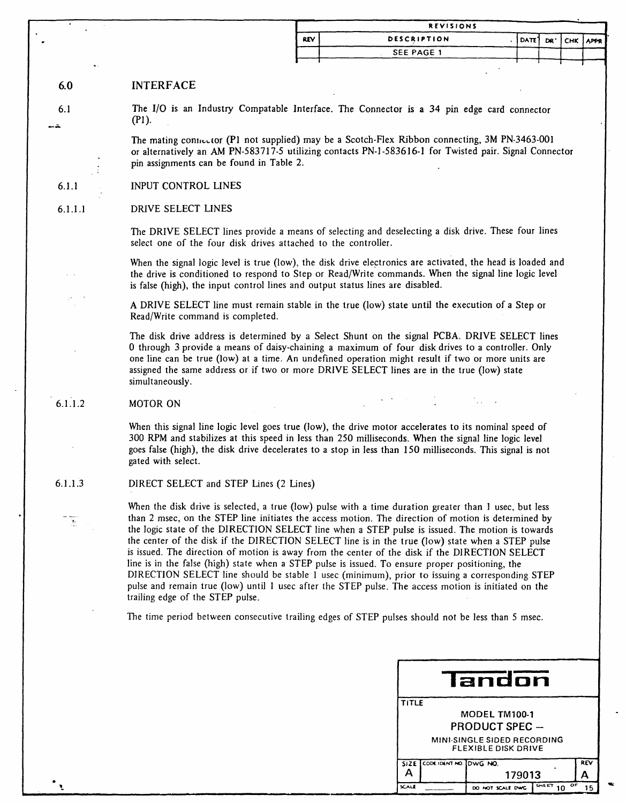|            | <b>REVISIONS</b>   |                    |  |  |
|------------|--------------------|--------------------|--|--|
| <b>REV</b> | <b>DESCRIPTION</b> | IDATE DR' CHK APPR |  |  |
|            | <b>SEE PAGE 1</b>  |                    |  |  |
|            |                    |                    |  |  |

#### 6.0 INTERFACE

6.1

--

The I/O is an Industry Compatable Interface. The Connector is a 34 pin edge card connector (PI).

The mating connector (P1 not supplied) may be a Scotch-Flex Ribbon connecting, 3M PN-3463-001 or alternatively an AM PN-5837I7-5 utilizing contacts PN-I-5836I6-1 for Twisted pair. Signal Connector pin assignments can be found in Table 2.

#### 6.1.1 INPUT CONTROL LINES

#### 6.1.1.1 DRIVE SELECT LINES

The DRIVE SELECT lines provide a means of selecting and deselecting a disk drive. These four lines select one of the four disk drives attached to the controller.

When the signal logic level is true (low), the disk drive electronics are activated, the head is loaded and the drive is conditioned to respond to Step or Read/Write commands. When the signal line logic level is false (high), the input control lines and output status lines are disabled.

A DRIVE SELECT line must remain stable in the true (low) state until the execution of a Step or Read/Write command is completed.

The disk drive address is determined by a Select Shunt on the signal PCBA. DRIVE SELECT lines o through 3 provide a means of daisy-chaining a maximum of four disk drives to a controller. Only one line can be true (low) at a time. An undefined operation might result if two or more units are assigned the same address or if two or more DRIVE SELECT lines are in the true (low) state simultaneously.

#### 6.1.1.2 MOTOR ON

 $\mathcal{L}$ 

When this signal line logic level goes true (low), the drive motor accelerates to its nominal speed of 300 RPM and stabilizes at this speed in less than 250 milliseconds. When the signal line logic level goes false (high), the disk drive decelerates to a stop in less than 150 milliseconds. This signal is not gated with select.

#### 6.1.1.3 DIRECT SELECT and STEP Lines (2 Lines)

When the disk drive is selected, a true (low) pulse with a time duration greater than 1 usec, but less than 2 msec, on the STEP line initiates the access motion. The direction of motion is determined by the logic state of the DIRECTION SELECT line when a STEP pulse is issued. The motion is towards the center of the disk if the DIRECTION SELECT line is in the true (low) state when a STEP pulse is issued. The direction of motion is away from the center of the disk if the DIRECTION SELECT line is in the false (high) state when a STEP pulse is issued. To ensure proper positioning, the DIRECTION SELECT line should be stable 1 usec (minimum), prior to issuing a corresponding STEP pulse and remain true (low) until I usec after the STEP pulse. The access motion is initiated on the trailing edge of the STEP pulse.

The time period between consecutive trailing edges of STEP pulses should not be less than 5 msec.

| landon                                                    |                                    |            |  |  |  |  |
|-----------------------------------------------------------|------------------------------------|------------|--|--|--|--|
| <b>TITLE</b>                                              |                                    |            |  |  |  |  |
|                                                           | MODEL TM100-1                      |            |  |  |  |  |
|                                                           | <b>PRODUCT SPEC -</b>              |            |  |  |  |  |
| MINI-SINGLE SIDED RECORDING<br><b>FLEXIBLE DISK DRIVE</b> |                                    |            |  |  |  |  |
| SIZE CODE IDENT NO. LOWG NO.                              |                                    | <b>REV</b> |  |  |  |  |
|                                                           | 179013                             |            |  |  |  |  |
| SCALE                                                     | $\overline{5}$<br>DO NOT SCALE DWG | O۴<br>15   |  |  |  |  |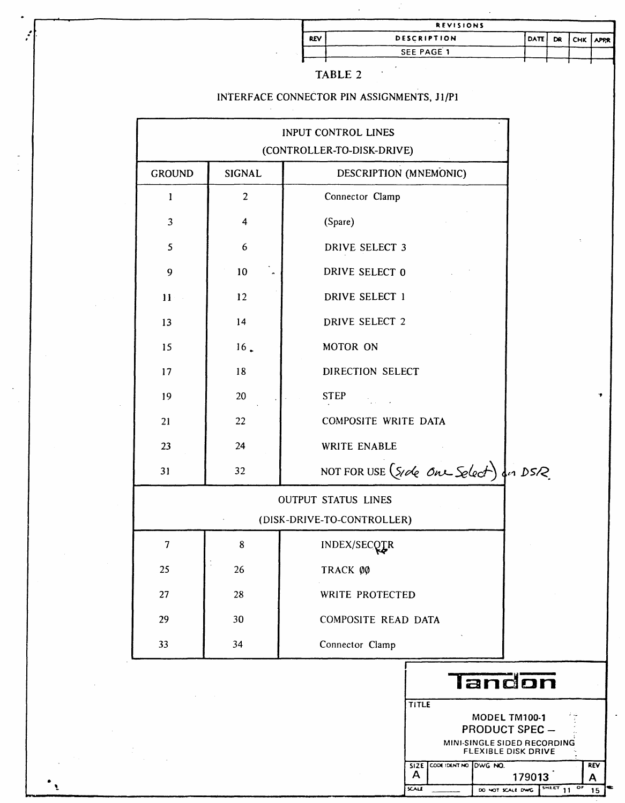| <b>REVISIONS</b> |                                            |             |    |            |             |
|------------------|--------------------------------------------|-------------|----|------------|-------------|
| <b>REV</b>       | DESCRIPTION                                | <b>DATE</b> | DR | <b>CHK</b> | <b>APPR</b> |
|                  | SEE PAGE 1                                 |             |    |            |             |
| TABLE 2          | INTERFACE CONNECTOR PIN ASSIGNMENTS, J1/P1 |             |    |            |             |

| INPUT CONTROL LINES<br>(CONTROLLER-TO-DISK-DRIVE) |                                         |                                        |  |  |  |  |
|---------------------------------------------------|-----------------------------------------|----------------------------------------|--|--|--|--|
| <b>GROUND</b>                                     | DESCRIPTION (MNEMONIC)<br><b>SIGNAL</b> |                                        |  |  |  |  |
| 1                                                 | $\overline{2}$                          | Connector Clamp                        |  |  |  |  |
| $\mathbf{3}$                                      | 4                                       | (Spare)                                |  |  |  |  |
| 5                                                 | 6                                       | DRIVE SELECT 3                         |  |  |  |  |
| 9                                                 | 10                                      | DRIVE SELECT 0                         |  |  |  |  |
| $\mathbf{11}$                                     | 12                                      | DRIVE SELECT 1                         |  |  |  |  |
| 13                                                | 14                                      | DRIVE SELECT 2                         |  |  |  |  |
| 15                                                | 16.                                     | MOTOR ON                               |  |  |  |  |
| 17                                                | 18                                      | DIRECTION SELECT                       |  |  |  |  |
| 19                                                | 20                                      | <b>STEP</b>                            |  |  |  |  |
| 21                                                | 22                                      | COMPOSITE WRITE DATA                   |  |  |  |  |
| 23                                                | 24                                      | WRITE ENABLE                           |  |  |  |  |
| 31                                                | 32                                      | NOT FOR USE (SIde One Select) des DSR. |  |  |  |  |
|                                                   |                                         | <b>OUTPUT STATUS LINES</b>             |  |  |  |  |
| (DISK-DRIVE-TO-CONTROLLER)                        |                                         |                                        |  |  |  |  |
| 7                                                 | 8                                       | INDEX/SECOTR                           |  |  |  |  |
| 25                                                | 26                                      | TRACK ØØ                               |  |  |  |  |
| 27                                                | 28                                      | WRITE PROTECTED                        |  |  |  |  |
| 29                                                | 30                                      | COMPOSITE READ DATA                    |  |  |  |  |
| 33                                                | 34                                      | Connector Clamp                        |  |  |  |  |

|                                                           | landon                |                  |             |            |  |  |  |
|-----------------------------------------------------------|-----------------------|------------------|-------------|------------|--|--|--|
|                                                           | <b>TITLE</b>          |                  |             |            |  |  |  |
|                                                           |                       | MODEL TM100-1    |             |            |  |  |  |
|                                                           |                       | PRODUCT SPEC -   |             |            |  |  |  |
| MINI-SINGLE SIDED RECORDING<br><b>FLEXIBLE DISK DRIVE</b> |                       |                  |             |            |  |  |  |
| SIZE                                                      | CODE IDENT NO DWG NO. |                  |             | <b>REV</b> |  |  |  |
|                                                           |                       | 179013           |             | ρ          |  |  |  |
| <b>SCALE</b>                                              |                       | DO NOT SCALE DWG | SHEET<br>ОF | 15         |  |  |  |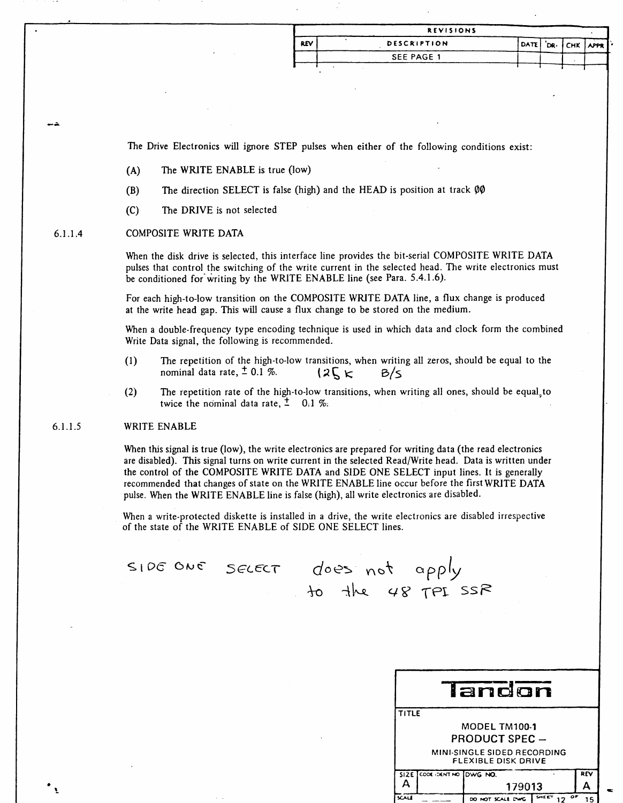| <b>REVISIONS</b> |             |                   |  |  |  |
|------------------|-------------|-------------------|--|--|--|
| <b>REV</b>       | DESCRIPTION | DATE DR. CHK APPR |  |  |  |
|                  | SEE PAGE 1  |                   |  |  |  |
|                  |             |                   |  |  |  |

The Drive Electronics will ignore STEP pulses when either of the following conditions exist:

- (A) The WRITE ENABLE is true (low)
- (B) The direction SELECT is false (high) and the HEAD is position at track  $\varnothing\varnothing$
- (C) The DRIVE is not selected

#### 6.1.1.4 COMPOSITE WRITE DATA

.<br>.<br>.

•

When the disk drive is selected, this interface line provides the bit-serial COMPOSITE WRITE DATA pulses that control the switching of the write current in the selected head. The write electronics must be conditioned for writing by the WRITE ENABLE line (see Para. 5.4.1.6).

For each high-to-Iow transition on the COMPOSITE WRITE DATA line, a flux change is produced at the write head gap. This will cause a flux change to be stored on the medium.

When a double-frequency type encoding technique is used in which data and clock form the combined Write Data signal, the following is recommended.

- (1) The repetition of the high-to-Iow transitions, when writing all zeros, should be equal to the nominal data rate,  $\pm$  0.1 %.<br>( $2\zeta \kappa$   $\approx$   $6/5$ nominal data rate,  $\pm$  0.1 %. ( $2\sqrt{K}$   $\lt$   $-$  B/5
- (2) The repetition rate of the high-to-low transitions, when writing all ones, should be equal to twice the nominal data rate,  $\pm$  0.1 %.

#### 6.1.1.5 WRITE ENABLE

 $\leq$ 

When this signal is true (low), the write electronics are prepared for writing data (the read electronics are disabled). This signal turns on write current in the selected Read/Write head. Data is written under the control of the COMPOSITE WRITE DATA and SIDE ONE SELECT input lines. It is generally recommended that changes of state on the WRITE ENABLE line occur before the first WRITE DATA pulse. When the WRITE ENABLE line is false (high), all write electronics are disabled.

When a write-protected diskette is installed in a drive, the write electronics are disabled irrespective of the state of the WRITE ENABLE of SIDE ONE SELECT lines.

| IDE ONE SELECT does not apply |  |                   |  |  |
|-------------------------------|--|-------------------|--|--|
|                               |  | to the 48 TPI SSR |  |  |

| landon                                                    |                       |                  |             |     |  |  |  |  |
|-----------------------------------------------------------|-----------------------|------------------|-------------|-----|--|--|--|--|
| <b>TITLE</b>                                              |                       |                  |             |     |  |  |  |  |
| MODEL TM100-1                                             |                       |                  |             |     |  |  |  |  |
| PRODUCT SPEC -                                            |                       |                  |             |     |  |  |  |  |
| MINI-SINGLE SIDED RECORDING<br><b>FLEXIBLE DISK DRIVE</b> |                       |                  |             |     |  |  |  |  |
| SIZE.                                                     | COOK DENTINO DUVG NO. |                  |             | REV |  |  |  |  |
|                                                           |                       | 179013           |             |     |  |  |  |  |
| SCALE                                                     |                       | DO NOT SCALE DWG | SHEET<br>۰۴ | 15  |  |  |  |  |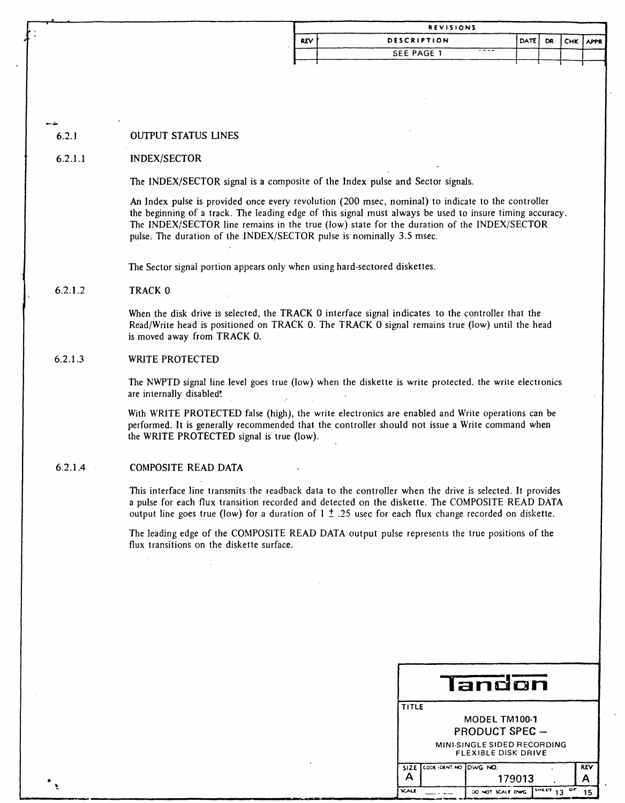|         | <b>REVISIONS</b>                                                                                                                                                                                             |                                   |            |    |            |      |  |  |
|---------|--------------------------------------------------------------------------------------------------------------------------------------------------------------------------------------------------------------|-----------------------------------|------------|----|------------|------|--|--|
|         |                                                                                                                                                                                                              | DESCRIPTION<br><b>DATE</b><br>REV |            | DR | <b>CHK</b> | appr |  |  |
|         |                                                                                                                                                                                                              |                                   | SEE PAGE 1 |    |            |      |  |  |
|         |                                                                                                                                                                                                              |                                   |            |    |            |      |  |  |
|         |                                                                                                                                                                                                              |                                   |            |    |            |      |  |  |
|         |                                                                                                                                                                                                              |                                   |            |    |            |      |  |  |
|         |                                                                                                                                                                                                              |                                   |            |    |            |      |  |  |
| 6.2.1   | <b>OUTPUT STATUS LINES</b>                                                                                                                                                                                   |                                   |            |    |            |      |  |  |
| 6.2.1.1 |                                                                                                                                                                                                              |                                   |            |    |            |      |  |  |
|         | <b>INDEX/SECTOR</b>                                                                                                                                                                                          |                                   |            |    |            |      |  |  |
|         | The INDEX/SECTOR signal is a composite of the Index pulse and Sector signals.                                                                                                                                |                                   |            |    |            |      |  |  |
|         | An Index pulse is provided once every revolution (200 msec, nominal) to indicate to the controller                                                                                                           |                                   |            |    |            |      |  |  |
|         | the beginning of a track. The leading edge of this signal must always be used to insure timing accuracy.                                                                                                     |                                   |            |    |            |      |  |  |
|         | The INDEX/SECTOR line remains in the true (low) state for the duration of the INDEX/SECTOR<br>pulse. The duration of the INDEX/SECTOR pulse is nominally 3.5 msec.                                           |                                   |            |    |            |      |  |  |
|         |                                                                                                                                                                                                              |                                   |            |    |            |      |  |  |
|         | The Sector signal portion appears only when using hard-sectored diskettes.                                                                                                                                   |                                   |            |    |            |      |  |  |
|         |                                                                                                                                                                                                              |                                   |            |    |            |      |  |  |
| 6.2.1.2 | TRACK 0                                                                                                                                                                                                      |                                   |            |    |            |      |  |  |
|         | When the disk drive is selected, the TRACK 0 interface signal indicates to the controller that the                                                                                                           |                                   |            |    |            |      |  |  |
|         | Read/Write head is positioned on TRACK 0. The TRACK 0 signal remains true (low) until the head<br>is moved away from TRACK 0.                                                                                |                                   |            |    |            |      |  |  |
|         |                                                                                                                                                                                                              |                                   |            |    |            |      |  |  |
| 6.2.1.3 | WRITE PROTECTED                                                                                                                                                                                              |                                   |            |    |            |      |  |  |
|         | The NWPTD signal line level goes true (low) when the diskette is write protected, the write electronics                                                                                                      |                                   |            |    |            |      |  |  |
|         | are internally disabled!                                                                                                                                                                                     |                                   |            |    |            |      |  |  |
|         | With WRITE PROTECTED false (high), the write electronics are enabled and Write operations can be                                                                                                             |                                   |            |    |            |      |  |  |
|         | performed. It is generally recommended that the controller should not issue a Write command when                                                                                                             |                                   |            |    |            |      |  |  |
|         | the WRITE PROTECTED signal is true (low).                                                                                                                                                                    |                                   |            |    |            |      |  |  |
| 6.2.1.4 | COMPOSITE READ DATA                                                                                                                                                                                          |                                   |            |    |            |      |  |  |
|         |                                                                                                                                                                                                              |                                   |            |    |            |      |  |  |
|         | This interface line transmits the readback data to the controller when the drive is selected. It provides                                                                                                    |                                   |            |    |            |      |  |  |
|         | a pulse for each flux transition recorded and detected on the diskette. The COMPOSITE READ DATA<br>output line goes true (low) for a duration of $1 \pm .25$ usec for each flux change recorded on diskette. |                                   |            |    |            |      |  |  |
|         |                                                                                                                                                                                                              |                                   |            |    |            |      |  |  |
|         | The leading edge of the COMPOSITE READ DATA output pulse represents the true positions of the<br>flux transitions on the diskette surface.                                                                   |                                   |            |    |            |      |  |  |
|         |                                                                                                                                                                                                              |                                   |            |    |            |      |  |  |

•

| landon                                                     |                            |                  |             |            |  |  |  |
|------------------------------------------------------------|----------------------------|------------------|-------------|------------|--|--|--|
| TITLE                                                      |                            |                  |             |            |  |  |  |
| MODEL TM100-1                                              |                            |                  |             |            |  |  |  |
| <b>PRODUCT SPEC -</b>                                      |                            |                  |             |            |  |  |  |
| MINI-SINGLE SIDED RECORDING<br><b>FI EXIBLE DISK DRIVE</b> |                            |                  |             |            |  |  |  |
|                                                            | SIZE COOK IDENT NO DWG NO. |                  |             | <b>REV</b> |  |  |  |
|                                                            |                            | 179013           |             |            |  |  |  |
| <b>SCALE</b>                                               |                            | DO NOT SCALE DWG | SHEET<br>o۴ | 15         |  |  |  |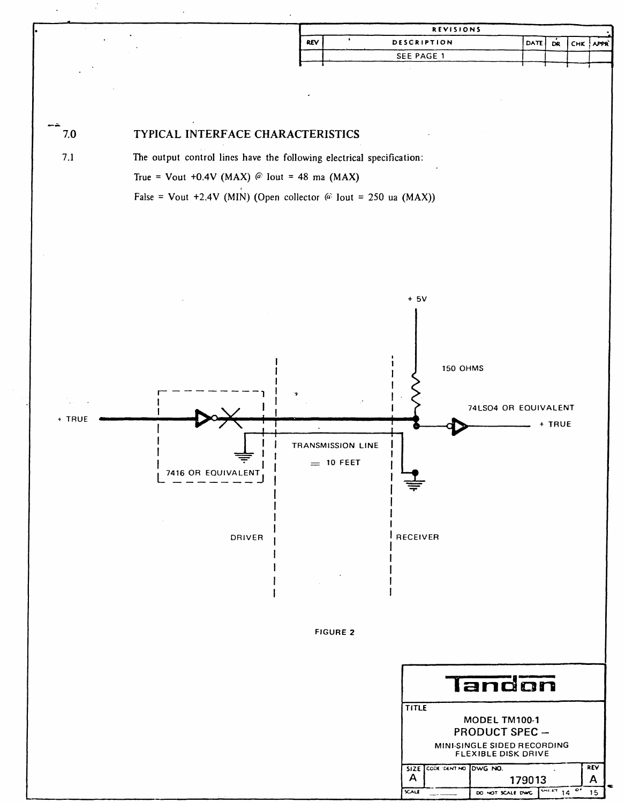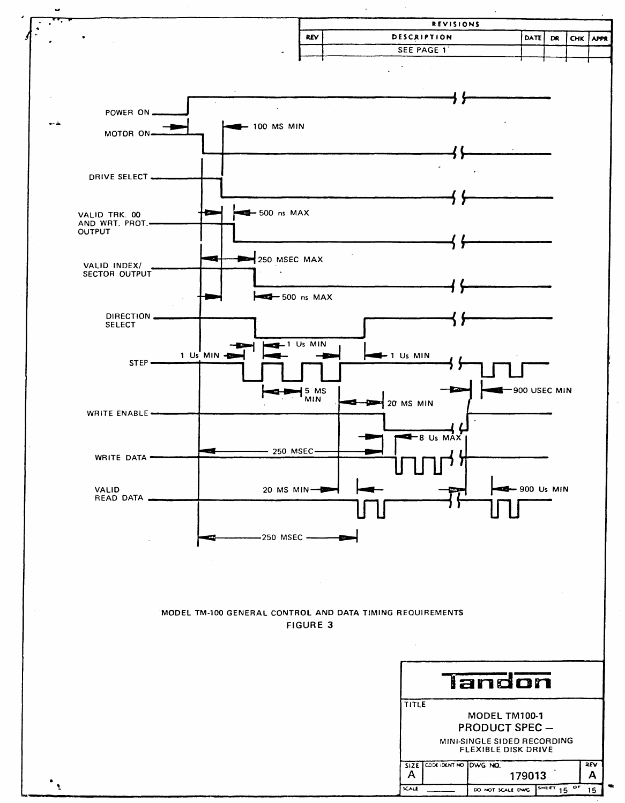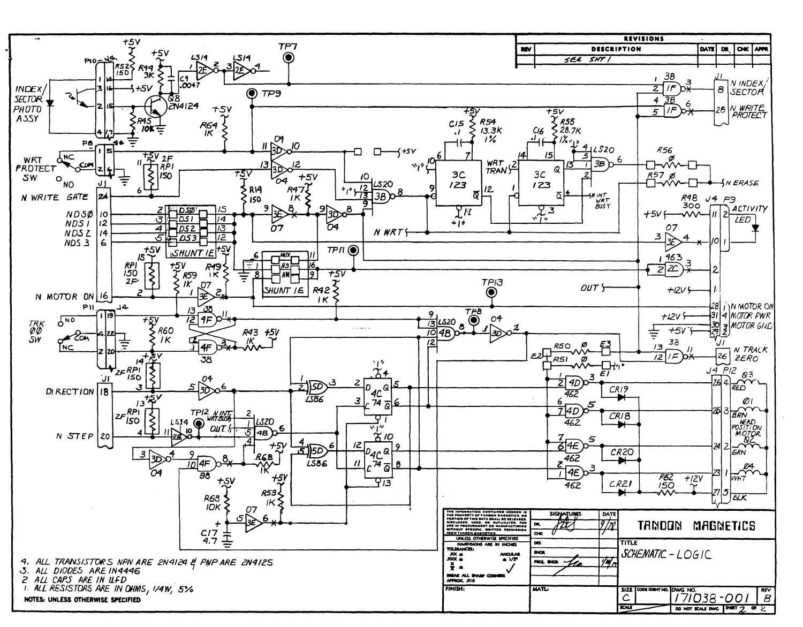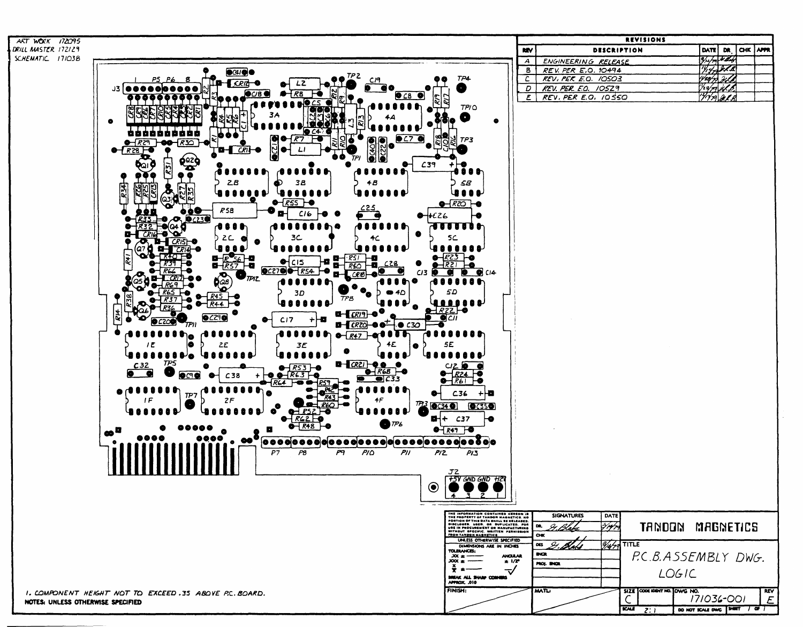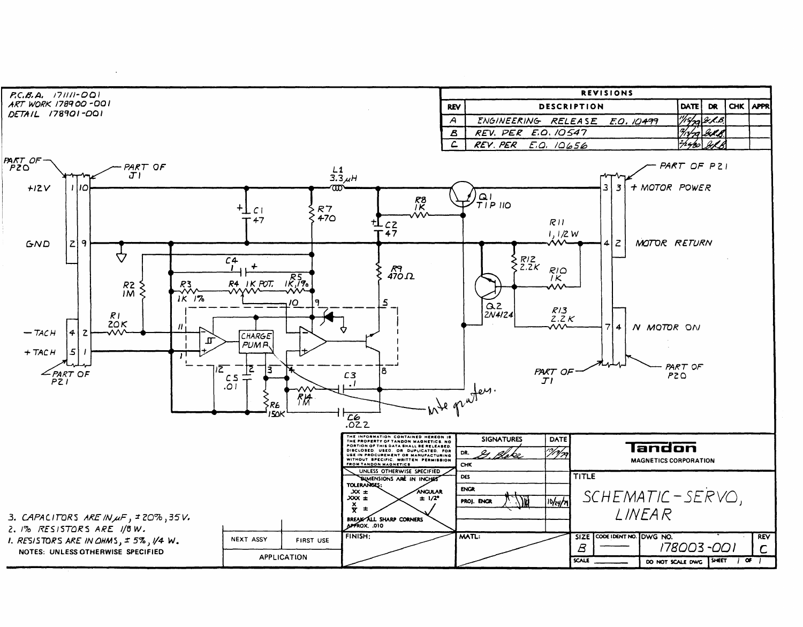